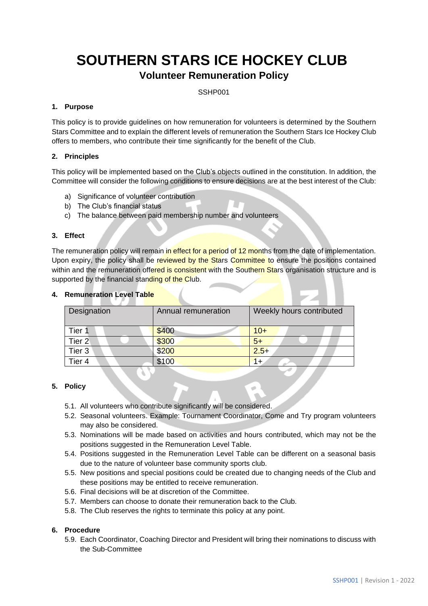# **SOUTHERN STARS ICE HOCKEY CLUB**

## **Volunteer Remuneration Policy**

SSHP001

#### **1. Purpose**

This policy is to provide guidelines on how remuneration for volunteers is determined by the Southern Stars Committee and to explain the different levels of remuneration the Southern Stars Ice Hockey Club offers to members, who contribute their time significantly for the benefit of the Club.

### **2. Principles**

This policy will be implemented based on the Club's objects outlined in the constitution. In addition, the Committee will consider the following conditions to ensure decisions are at the best interest of the Club:

- a) Significance of volunteer contribution
- b) The Club's financial status
- c) The balance between paid membership number and volunteers

#### **3. Effect**

The remuneration policy will remain in effect for a period of 12 months from the date of implementation. Upon expiry, the policy shall be reviewed by the Stars Committee to ensure the positions contained within and the remuneration offered is consistent with the Southern Stars organisation structure and is supported by the financial standing of the Club.

| Designation       | Annual remuneration | Weekly hours contributed |
|-------------------|---------------------|--------------------------|
| Tier 1            | \$400               | $10+$                    |
| Tier 2            | \$300               | $5+$                     |
| Tier <sub>3</sub> | \$200               | $2.5+$                   |
| Tier 4            | \$100               | $1+$                     |

#### **4. Remuneration Level Table**

#### **5. Policy**

- 5.1. All volunteers who contribute significantly will be considered.
- 5.2. Seasonal volunteers. Example: Tournament Coordinator, Come and Try program volunteers may also be considered.
- 5.3. Nominations will be made based on activities and hours contributed, which may not be the positions suggested in the Remuneration Level Table.
- 5.4. Positions suggested in the Remuneration Level Table can be different on a seasonal basis due to the nature of volunteer base community sports club.
- 5.5. New positions and special positions could be created due to changing needs of the Club and these positions may be entitled to receive remuneration.
- 5.6. Final decisions will be at discretion of the Committee.
- 5.7. Members can choose to donate their remuneration back to the Club.
- 5.8. The Club reserves the rights to terminate this policy at any point.

#### **6. Procedure**

5.9. Each Coordinator, Coaching Director and President will bring their nominations to discuss with the Sub-Committee